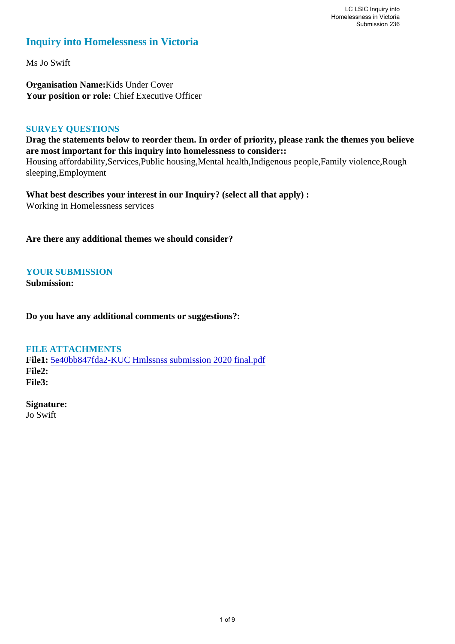# **Inquiry into Homelessness in Victoria**

Ms Jo Swift

**Organisation Name:**Kids Under Cover Your position or role: Chief Executive Officer

#### **SURVEY QUESTIONS**

**Drag the statements below to reorder them. In order of priority, please rank the themes you believe are most important for this inquiry into homelessness to consider::** 

Housing affordability,Services,Public housing,Mental health,Indigenous people,Family violence,Rough sleeping,Employment

**What best describes your interest in our Inquiry? (select all that apply) :**  Working in Homelessness services

**Are there any additional themes we should consider?**

**YOUR SUBMISSION**

**Submission:** 

**Do you have any additional comments or suggestions?:** 

**FILE ATTACHMENTS**

**File1:** [5e40bb847fda2-KUC Hmlssnss submission 2020 final.pdf](https://www.parliament.vic.gov.au/component/rsform/submission-view-file/a6098a95b64ab0a2387ca2ad395a7964/7aa42e6da1e7146947bafd2edc0f2b8c?Itemid=463) **File2: File3:** 

**Signature:** Jo Swift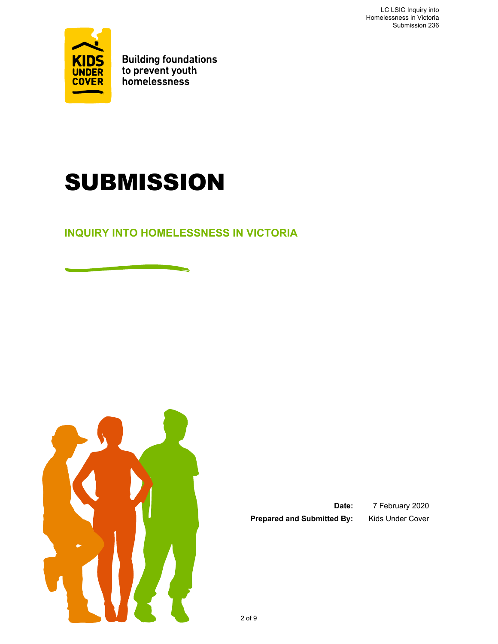LC LSIC Inquiry into Homelessness in Victoria Submission 236



**Building foundations<br>to prevent youth<br>homelessness** 

# SUBMISSION

**INQUIRY INTO HOMELESSNESS IN VICTORIA** 



Prepared and Submitted By: Kids Under Cover

**Date:** 7 February 2020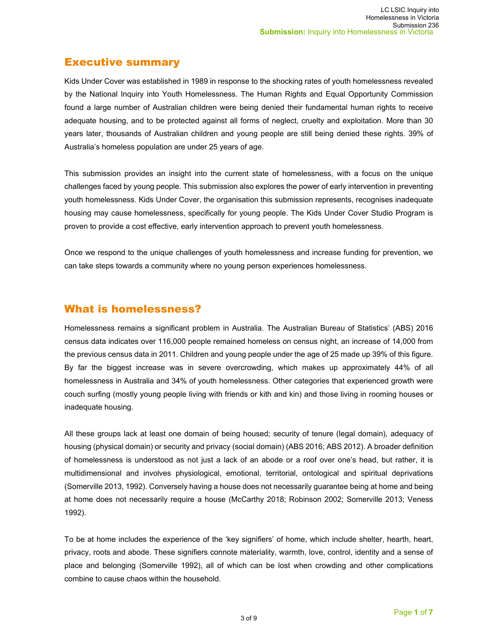## Executive summary

Kids Under Cover was established in 1989 in response to the shocking rates of youth homelessness revealed by the National Inquiry into Youth Homelessness. The Human Rights and Equal Opportunity Commission found a large number of Australian children were being denied their fundamental human rights to receive adequate housing, and to be protected against all forms of neglect, cruelty and exploitation. More than 30 years later, thousands of Australian children and young people are still being denied these rights. 39% of Australia's homeless population are under 25 years of age.

This submission provides an insight into the current state of homelessness, with a focus on the unique challenges faced by young people. This submission also explores the power of early intervention in preventing youth homelessness. Kids Under Cover, the organisation this submission represents, recognises inadequate housing may cause homelessness, specifically for young people. The Kids Under Cover Studio Program is proven to provide a cost effective, early intervention approach to prevent youth homelessness.

Once we respond to the unique challenges of youth homelessness and increase funding for prevention, we can take steps towards a community where no young person experiences homelessness.

## What is homelessness?

Homelessness remains a significant problem in Australia. The Australian Bureau of Statistics' (ABS) 2016 census data indicates over 116,000 people remained homeless on census night, an increase of 14,000 from the previous census data in 2011. Children and young people under the age of 25 made up 39% of this figure. By far the biggest increase was in severe overcrowding, which makes up approximately 44% of all homelessness in Australia and 34% of youth homelessness. Other categories that experienced growth were couch surfing (mostly young people living with friends or kith and kin) and those living in rooming houses or inadequate housing.

All these groups lack at least one domain of being housed; security of tenure (legal domain), adequacy of housing (physical domain) or security and privacy (social domain) (ABS 2016; ABS 2012). A broader definition of homelessness is understood as not just a lack of an abode or a roof over one's head, but rather, it is multidimensional and involves physiological, emotional, territorial, ontological and spiritual deprivations (Somerville 2013, 1992). Conversely having a house does not necessarily guarantee being at home and being at home does not necessarily require a house (McCarthy 2018; Robinson 2002; Somerville 2013; Veness 1992).

To be at home includes the experience of the 'key signifiers' of home, which include shelter, hearth, heart, privacy, roots and abode. These signifiers connote materiality, warmth, love, control, identity and a sense of place and belonging (Somerville 1992), all of which can be lost when crowding and other complications combine to cause chaos within the household.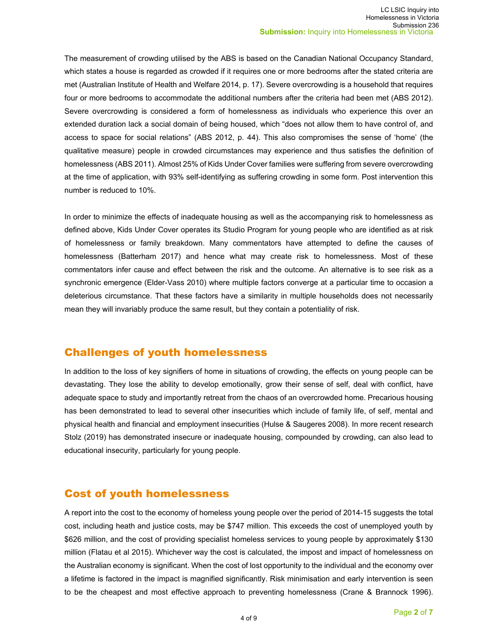The measurement of crowding utilised by the ABS is based on the Canadian National Occupancy Standard, which states a house is regarded as crowded if it requires one or more bedrooms after the stated criteria are met (Australian Institute of Health and Welfare 2014, p. 17). Severe overcrowding is a household that requires four or more bedrooms to accommodate the additional numbers after the criteria had been met (ABS 2012). Severe overcrowding is considered a form of homelessness as individuals who experience this over an extended duration lack a social domain of being housed, which "does not allow them to have control of, and access to space for social relations" (ABS 2012, p. 44). This also compromises the sense of 'home' (the qualitative measure) people in crowded circumstances may experience and thus satisfies the definition of homelessness (ABS 2011). Almost 25% of Kids Under Cover families were suffering from severe overcrowding at the time of application, with 93% self-identifying as suffering crowding in some form. Post intervention this number is reduced to 10%.

In order to minimize the effects of inadequate housing as well as the accompanying risk to homelessness as defined above, Kids Under Cover operates its Studio Program for young people who are identified as at risk of homelessness or family breakdown. Many commentators have attempted to define the causes of homelessness (Batterham 2017) and hence what may create risk to homelessness. Most of these commentators infer cause and effect between the risk and the outcome. An alternative is to see risk as a synchronic emergence (Elder-Vass 2010) where multiple factors converge at a particular time to occasion a deleterious circumstance. That these factors have a similarity in multiple households does not necessarily mean they will invariably produce the same result, but they contain a potentiality of risk.

#### Challenges of youth homelessness

In addition to the loss of key signifiers of home in situations of crowding, the effects on young people can be devastating. They lose the ability to develop emotionally, grow their sense of self, deal with conflict, have adequate space to study and importantly retreat from the chaos of an overcrowded home. Precarious housing has been demonstrated to lead to several other insecurities which include of family life, of self, mental and physical health and financial and employment insecurities (Hulse & Saugeres 2008). In more recent research Stolz (2019) has demonstrated insecure or inadequate housing, compounded by crowding, can also lead to educational insecurity, particularly for young people.

# Cost of youth homelessness

A report into the cost to the economy of homeless young people over the period of 2014-15 suggests the total cost, including heath and justice costs, may be \$747 million. This exceeds the cost of unemployed youth by \$626 million, and the cost of providing specialist homeless services to young people by approximately \$130 million (Flatau et al 2015). Whichever way the cost is calculated, the impost and impact of homelessness on the Australian economy is significant. When the cost of lost opportunity to the individual and the economy over a lifetime is factored in the impact is magnified significantly. Risk minimisation and early intervention is seen to be the cheapest and most effective approach to preventing homelessness (Crane & Brannock 1996).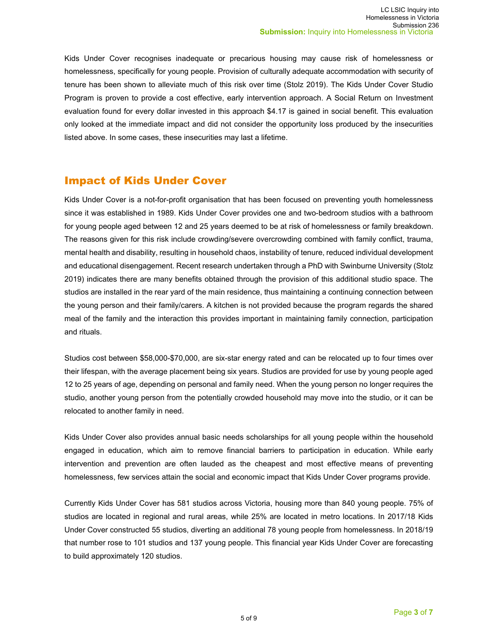Kids Under Cover recognises inadequate or precarious housing may cause risk of homelessness or homelessness, specifically for young people. Provision of culturally adequate accommodation with security of tenure has been shown to alleviate much of this risk over time (Stolz 2019). The Kids Under Cover Studio Program is proven to provide a cost effective, early intervention approach. A Social Return on Investment evaluation found for every dollar invested in this approach \$4.17 is gained in social benefit. This evaluation only looked at the immediate impact and did not consider the opportunity loss produced by the insecurities listed above. In some cases, these insecurities may last a lifetime.

#### Impact of Kids Under Cover

Kids Under Cover is a not-for-profit organisation that has been focused on preventing youth homelessness since it was established in 1989. Kids Under Cover provides one and two-bedroom studios with a bathroom for young people aged between 12 and 25 years deemed to be at risk of homelessness or family breakdown. The reasons given for this risk include crowding/severe overcrowding combined with family conflict, trauma, mental health and disability, resulting in household chaos, instability of tenure, reduced individual development and educational disengagement. Recent research undertaken through a PhD with Swinburne University (Stolz 2019) indicates there are many benefits obtained through the provision of this additional studio space. The studios are installed in the rear yard of the main residence, thus maintaining a continuing connection between the young person and their family/carers. A kitchen is not provided because the program regards the shared meal of the family and the interaction this provides important in maintaining family connection, participation and rituals.

Studios cost between \$58,000-\$70,000, are six-star energy rated and can be relocated up to four times over their lifespan, with the average placement being six years. Studios are provided for use by young people aged 12 to 25 years of age, depending on personal and family need. When the young person no longer requires the studio, another young person from the potentially crowded household may move into the studio, or it can be relocated to another family in need.

Kids Under Cover also provides annual basic needs scholarships for all young people within the household engaged in education, which aim to remove financial barriers to participation in education. While early intervention and prevention are often lauded as the cheapest and most effective means of preventing homelessness, few services attain the social and economic impact that Kids Under Cover programs provide.

Currently Kids Under Cover has 581 studios across Victoria, housing more than 840 young people. 75% of studios are located in regional and rural areas, while 25% are located in metro locations. In 2017/18 Kids Under Cover constructed 55 studios, diverting an additional 78 young people from homelessness. In 2018/19 that number rose to 101 studios and 137 young people. This financial year Kids Under Cover are forecasting to build approximately 120 studios.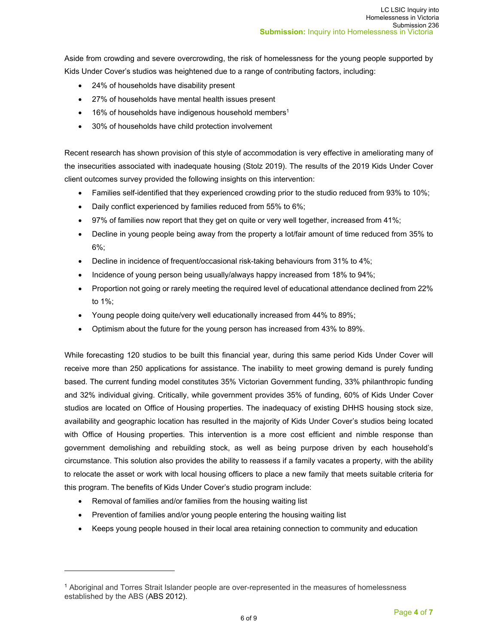Aside from crowding and severe overcrowding, the risk of homelessness for the young people supported by Kids Under Cover's studios was heightened due to a range of contributing factors, including:

- 24% of households have disability present
- 27% of households have mental health issues present
- 16% of households have indigenous household members<sup>1</sup>
- 30% of households have child protection involvement

Recent research has shown provision of this style of accommodation is very effective in ameliorating many of the insecurities associated with inadequate housing (Stolz 2019). The results of the 2019 Kids Under Cover client outcomes survey provided the following insights on this intervention:

- Families self-identified that they experienced crowding prior to the studio reduced from 93% to 10%;
- Daily conflict experienced by families reduced from 55% to 6%;
- 97% of families now report that they get on quite or very well together, increased from 41%;
- Decline in young people being away from the property a lot/fair amount of time reduced from 35% to 6%;
- Decline in incidence of frequent/occasional risk-taking behaviours from 31% to 4%;
- Incidence of young person being usually/always happy increased from 18% to 94%;
- Proportion not going or rarely meeting the required level of educational attendance declined from 22% to 1%;
- Young people doing quite/very well educationally increased from 44% to 89%;
- Optimism about the future for the young person has increased from 43% to 89%.

While forecasting 120 studios to be built this financial year, during this same period Kids Under Cover will receive more than 250 applications for assistance. The inability to meet growing demand is purely funding based. The current funding model constitutes 35% Victorian Government funding, 33% philanthropic funding and 32% individual giving. Critically, while government provides 35% of funding, 60% of Kids Under Cover studios are located on Office of Housing properties. The inadequacy of existing DHHS housing stock size, availability and geographic location has resulted in the majority of Kids Under Cover's studios being located with Office of Housing properties. This intervention is a more cost efficient and nimble response than government demolishing and rebuilding stock, as well as being purpose driven by each household's circumstance. This solution also provides the ability to reassess if a family vacates a property, with the ability to relocate the asset or work with local housing officers to place a new family that meets suitable criteria for this program. The benefits of Kids Under Cover's studio program include:

- Removal of families and/or families from the housing waiting list
- Prevention of families and/or young people entering the housing waiting list
- Keeps young people housed in their local area retaining connection to community and education

<sup>1</sup> Aboriginal and Torres Strait Islander people are over-represented in the measures of homelessness established by the ABS (ABS 2012).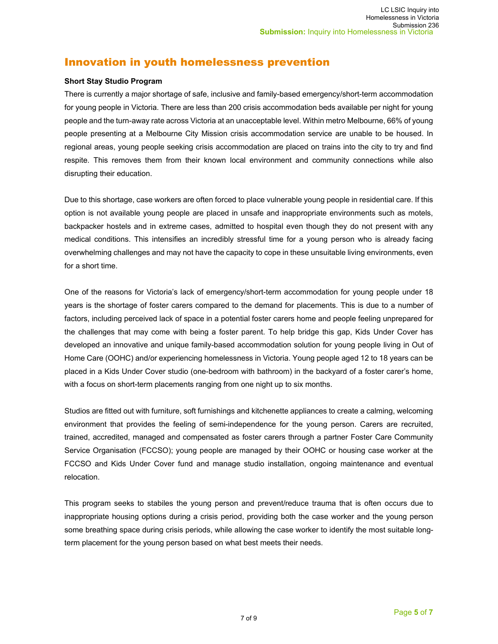# Innovation in youth homelessness prevention

#### **Short Stay Studio Program**

There is currently a major shortage of safe, inclusive and family-based emergency/short-term accommodation for young people in Victoria. There are less than 200 crisis accommodation beds available per night for young people and the turn-away rate across Victoria at an unacceptable level. Within metro Melbourne, 66% of young people presenting at a Melbourne City Mission crisis accommodation service are unable to be housed. In regional areas, young people seeking crisis accommodation are placed on trains into the city to try and find respite. This removes them from their known local environment and community connections while also disrupting their education.

Due to this shortage, case workers are often forced to place vulnerable young people in residential care. If this option is not available young people are placed in unsafe and inappropriate environments such as motels, backpacker hostels and in extreme cases, admitted to hospital even though they do not present with any medical conditions. This intensifies an incredibly stressful time for a young person who is already facing overwhelming challenges and may not have the capacity to cope in these unsuitable living environments, even for a short time.

One of the reasons for Victoria's lack of emergency/short-term accommodation for young people under 18 years is the shortage of foster carers compared to the demand for placements. This is due to a number of factors, including perceived lack of space in a potential foster carers home and people feeling unprepared for the challenges that may come with being a foster parent. To help bridge this gap, Kids Under Cover has developed an innovative and unique family-based accommodation solution for young people living in Out of Home Care (OOHC) and/or experiencing homelessness in Victoria. Young people aged 12 to 18 years can be placed in a Kids Under Cover studio (one-bedroom with bathroom) in the backyard of a foster carer's home, with a focus on short-term placements ranging from one night up to six months.

Studios are fitted out with furniture, soft furnishings and kitchenette appliances to create a calming, welcoming environment that provides the feeling of semi-independence for the young person. Carers are recruited, trained, accredited, managed and compensated as foster carers through a partner Foster Care Community Service Organisation (FCCSO); young people are managed by their OOHC or housing case worker at the FCCSO and Kids Under Cover fund and manage studio installation, ongoing maintenance and eventual relocation.

This program seeks to stabiles the young person and prevent/reduce trauma that is often occurs due to inappropriate housing options during a crisis period, providing both the case worker and the young person some breathing space during crisis periods, while allowing the case worker to identify the most suitable longterm placement for the young person based on what best meets their needs.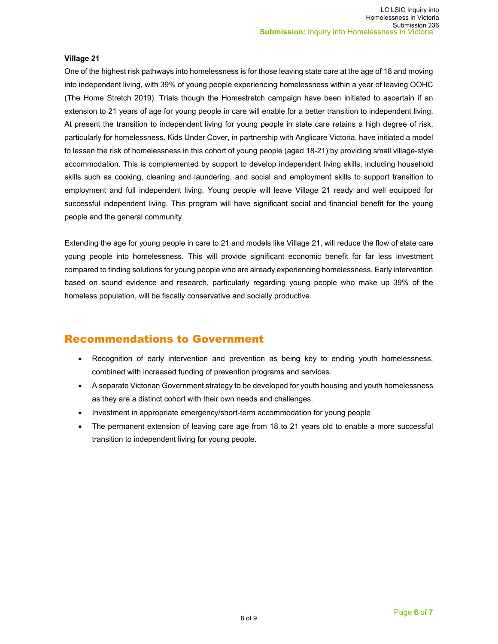#### **Village 21**

One of the highest risk pathways into homelessness is for those leaving state care at the age of 18 and moving into independent living, with 39% of young people experiencing homelessness within a year of leaving OOHC (The Home Stretch 2019). Trials though the Homestretch campaign have been initiated to ascertain if an extension to 21 years of age for young people in care will enable for a better transition to independent living. At present the transition to independent living for young people in state care retains a high degree of risk, particularly for homelessness. Kids Under Cover, in partnership with Anglicare Victoria, have initiated a model to lessen the risk of homelessness in this cohort of young people (aged 18-21) by providing small village-style accommodation. This is complemented by support to develop independent living skills, including household skills such as cooking, cleaning and laundering, and social and employment skills to support transition to employment and full independent living. Young people will leave Village 21 ready and well equipped for successful independent living. This program will have significant social and financial benefit for the young people and the general community.

Extending the age for young people in care to 21 and models like Village 21, will reduce the flow of state care young people into homelessness. This will provide significant economic benefit for far less investment compared to finding solutions for young people who are already experiencing homelessness. Early intervention based on sound evidence and research, particularly regarding young people who make up 39% of the homeless population, will be fiscally conservative and socially productive.

# Recommendations to Government

- Recognition of early intervention and prevention as being key to ending youth homelessness, combined with increased funding of prevention programs and services.
- A separate Victorian Government strategy to be developed for youth housing and youth homelessness as they are a distinct cohort with their own needs and challenges.
- Investment in appropriate emergency/short-term accommodation for young people
- The permanent extension of leaving care age from 18 to 21 years old to enable a more successful transition to independent living for young people.